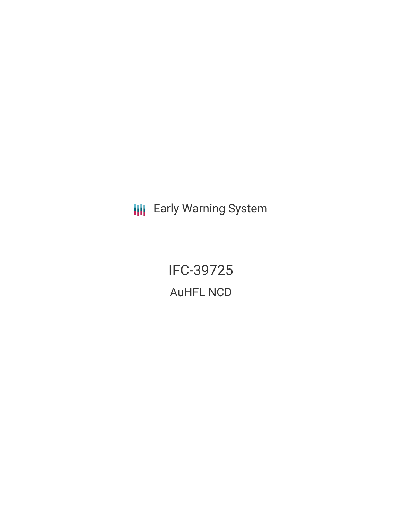**III** Early Warning System

IFC-39725 AuHFL NCD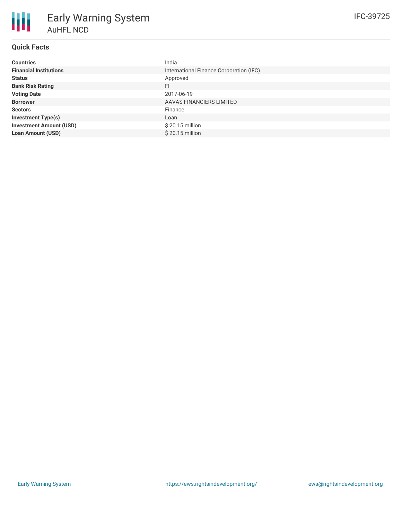| <b>Countries</b>               | India                                   |
|--------------------------------|-----------------------------------------|
| <b>Financial Institutions</b>  | International Finance Corporation (IFC) |
| <b>Status</b>                  | Approved                                |
| <b>Bank Risk Rating</b>        | FI.                                     |
| <b>Voting Date</b>             | 2017-06-19                              |
| <b>Borrower</b>                | AAVAS FINANCIERS LIMITED                |
| <b>Sectors</b>                 | Finance                                 |
| <b>Investment Type(s)</b>      | Loan                                    |
| <b>Investment Amount (USD)</b> | $$20.15$ million                        |
| <b>Loan Amount (USD)</b>       | \$20.15 million                         |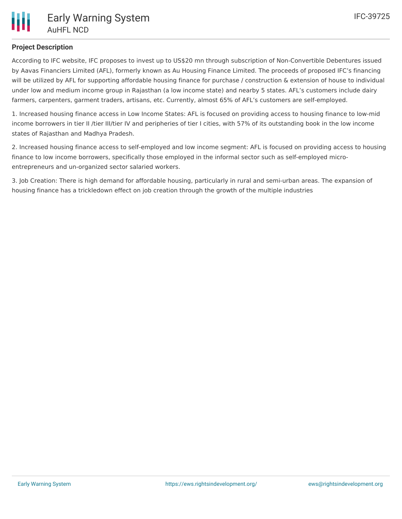# **Project Description**

According to IFC website, IFC proposes to invest up to US\$20 mn through subscription of Non-Convertible Debentures issued by Aavas Financiers Limited (AFL), formerly known as Au Housing Finance Limited. The proceeds of proposed IFC's financing will be utilized by AFL for supporting affordable housing finance for purchase / construction & extension of house to individual under low and medium income group in Rajasthan (a low income state) and nearby 5 states. AFL's customers include dairy farmers, carpenters, garment traders, artisans, etc. Currently, almost 65% of AFL's customers are self-employed.

1. Increased housing finance access in Low Income States: AFL is focused on providing access to housing finance to low-mid income borrowers in tier II /tier III/tier IV and peripheries of tier I cities, with 57% of its outstanding book in the low income states of Rajasthan and Madhya Pradesh.

2. Increased housing finance access to self-employed and low income segment: AFL is focused on providing access to housing finance to low income borrowers, specifically those employed in the informal sector such as self-employed microentrepreneurs and un-organized sector salaried workers.

3. Job Creation: There is high demand for affordable housing, particularly in rural and semi-urban areas. The expansion of housing finance has a trickledown effect on job creation through the growth of the multiple industries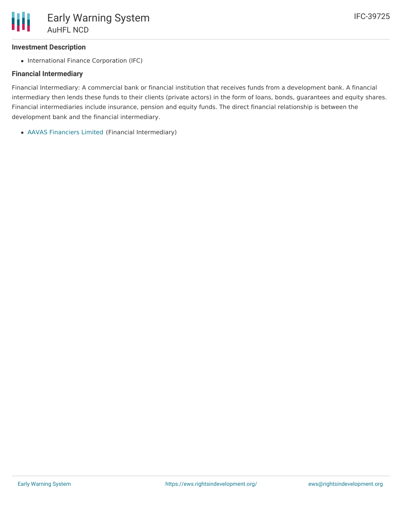# **Investment Description**

• International Finance Corporation (IFC)

# **Financial Intermediary**

Financial Intermediary: A commercial bank or financial institution that receives funds from a development bank. A financial intermediary then lends these funds to their clients (private actors) in the form of loans, bonds, guarantees and equity shares. Financial intermediaries include insurance, pension and equity funds. The direct financial relationship is between the development bank and the financial intermediary.

AAVAS [Financiers](file:///actor/1046/) Limited (Financial Intermediary)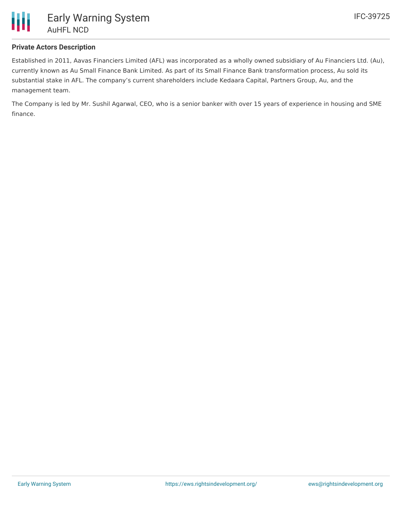

# **Private Actors Description**

Established in 2011, Aavas Financiers Limited (AFL) was incorporated as a wholly owned subsidiary of Au Financiers Ltd. (Au), currently known as Au Small Finance Bank Limited. As part of its Small Finance Bank transformation process, Au sold its substantial stake in AFL. The company's current shareholders include Kedaara Capital, Partners Group, Au, and the management team.

The Company is led by Mr. Sushil Agarwal, CEO, who is a senior banker with over 15 years of experience in housing and SME finance.